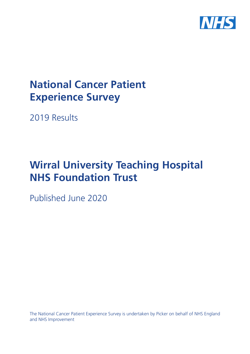

# **National Cancer Patient Experience Survey**

2019 Results

# **Wirral University Teaching Hospital NHS Foundation Trust**

Published June 2020

The National Cancer Patient Experience Survey is undertaken by Picker on behalf of NHS England and NHS Improvement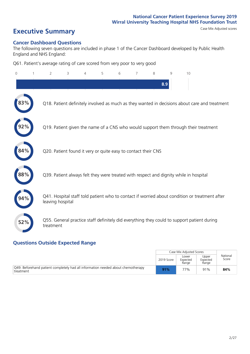# **Executive Summary** Case Mix Adjusted scores

#### **Cancer Dashboard Questions**

The following seven questions are included in phase 1 of the Cancer Dashboard developed by Public Health England and NHS England:

Q61. Patient's average rating of care scored from very poor to very good

| 0   | $\overline{2}$   | 3                                                             | 4 | 5 | 6 | 7 | 8   | $\mathsf{Q}$ | 10                                                                                            |
|-----|------------------|---------------------------------------------------------------|---|---|---|---|-----|--------------|-----------------------------------------------------------------------------------------------|
|     |                  |                                                               |   |   |   |   | 8.9 |              |                                                                                               |
|     |                  |                                                               |   |   |   |   |     |              | Q18. Patient definitely involved as much as they wanted in decisions about care and treatment |
|     |                  |                                                               |   |   |   |   |     |              | Q19. Patient given the name of a CNS who would support them through their treatment           |
| 84% |                  | Q20. Patient found it very or quite easy to contact their CNS |   |   |   |   |     |              |                                                                                               |
| 88% |                  |                                                               |   |   |   |   |     |              | Q39. Patient always felt they were treated with respect and dignity while in hospital         |
|     | leaving hospital |                                                               |   |   |   |   |     |              | Q41. Hospital staff told patient who to contact if worried about condition or treatment after |
| 52% | treatment        |                                                               |   |   |   |   |     |              | Q55. General practice staff definitely did everything they could to support patient during    |
|     |                  |                                                               |   |   |   |   |     |              |                                                                                               |

### **Questions Outside Expected Range**

|                                                                                               |            | Case Mix Adjusted Scores   |                            |                   |
|-----------------------------------------------------------------------------------------------|------------|----------------------------|----------------------------|-------------------|
|                                                                                               | 2019 Score | Lower<br>Expected<br>Range | Upper<br>Expected<br>Range | National<br>Score |
| Q49. Beforehand patient completely had all information needed about chemotherapy<br>treatment | 91%        | 77%                        | 91%                        | 84%               |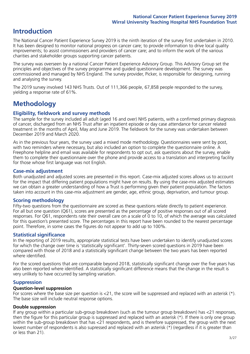# **Introduction**

The National Cancer Patient Experience Survey 2019 is the ninth iteration of the survey first undertaken in 2010. It has been designed to monitor national progress on cancer care; to provide information to drive local quality improvements; to assist commissioners and providers of cancer care; and to inform the work of the various charities and stakeholder groups supporting cancer patients.

The survey was overseen by a national Cancer Patient Experience Advisory Group. This Advisory Group set the principles and objectives of the survey programme and guided questionnaire development. The survey was commissioned and managed by NHS England. The survey provider, Picker, is responsible for designing, running and analysing the survey.

The 2019 survey involved 143 NHS Trusts. Out of 111,366 people, 67,858 people responded to the survey, yielding a response rate of 61%.

# **Methodology**

#### **Eligibility, eldwork and survey methods**

The sample for the survey included all adult (aged 16 and over) NHS patients, with a confirmed primary diagnosis of cancer, discharged from an NHS Trust after an inpatient episode or day case attendance for cancer related treatment in the months of April, May and June 2019. The fieldwork for the survey was undertaken between December 2019 and March 2020.

As in the previous four years, the survey used a mixed mode methodology. Questionnaires were sent by post, with two reminders where necessary, but also included an option to complete the questionnaire online. A Freephone helpline and email was available for respondents to opt out, ask questions about the survey, enable them to complete their questionnaire over the phone and provide access to a translation and interpreting facility for those whose first language was not English.

#### **Case-mix adjustment**

Both unadjusted and adjusted scores are presented in this report. Case-mix adjusted scores allows us to account for the impact that differing patient populations might have on results. By using the case-mix adjusted estimates we can obtain a greater understanding of how a Trust is performing given their patient population. The factors taken into account in this case-mix adjustment are gender, age, ethnic group, deprivation, and tumour group.

#### **Scoring methodology**

Fifty-two questions from the questionnaire are scored as these questions relate directly to patient experience. For all but one question (Q61), scores are presented as the percentage of positive responses out of all scored responses. For Q61, respondents rate their overall care on a scale of 0 to 10, of which the average was calculated for this question's presented score. The percentages in this report have been rounded to the nearest percentage point. Therefore, in some cases the figures do not appear to add up to 100%.

#### **Statistical significance**

In the reporting of 2019 results, appropriate statistical tests have been undertaken to identify unadjusted scores for which the change over time is 'statistically significant'. Thirty-seven scored questions in 2019 have been compared with those of 2018 and a statistically significant change between the two years has been reported where identified.

For the scored questions that are comparable beyond 2018, statistically significant change over the five years has also been reported where identified. A statistically significant difference means that the change in the result is very unlikely to have occurred by sampling variation.

#### **Suppression**

#### **Question-level suppression**

For scores where the base size per question is  $<$ 21, the score will be suppressed and replaced with an asterisk (\*). The base size will include neutral response options.

#### **Double suppression**

If any group within a particular sub-group breakdown (such as the tumour group breakdown) has <21 responses, then the figure for this particular group is suppressed and replaced with an asterisk (\*). If there is only one group within the sub-group breakdown that has <21 respondents, and is therefore suppressed, the group with the next lowest number of respondents is also supressed and replaced with an asterisk (\*) (regardless if it is greater than or less than 21).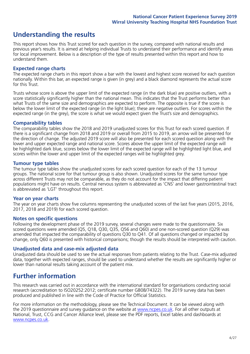# **Understanding the results**

This report shows how this Trust scored for each question in the survey, compared with national results and previous year's results. It is aimed at helping individual Trusts to understand their performance and identify areas for local improvement. Below is a description of the type of results presented within this report and how to understand them.

#### **Expected range charts**

The expected range charts in this report show a bar with the lowest and highest score received for each question nationally. Within this bar, an expected range is given (in grey) and a black diamond represents the actual score for this Trust.

Trusts whose score is above the upper limit of the expected range (in the dark blue) are positive outliers, with a score statistically significantly higher than the national mean. This indicates that the Trust performs better than what Trusts of the same size and demographics are expected to perform. The opposite is true if the score is below the lower limit of the expected range (in the light blue); these are negative outliers. For scores within the expected range (in the grey), the score is what we would expect given the Trust's size and demographics.

#### **Comparability tables**

The comparability tables show the 2018 and 2019 unadjusted scores for this Trust for each scored question. If there is a significant change from 2018 and 2019 or overall from 2015 to 2019, an arrow will be presented for the direction of change. The adjusted 2019 score will also be presented for each scored question along with the lower and upper expected range and national score. Scores above the upper limit of the expected range will be highlighted dark blue, scores below the lower limit of the expected range will be highlighted light blue, and scores within the lower and upper limit of the expected ranges will be highlighted grey.

#### **Tumour type tables**

The tumour type tables show the unadjusted scores for each scored question for each of the 13 tumour groups. The national score for that tumour group is also shown. Unadjusted scores for the same tumour type across different Trusts may not be comparable, as they do not account for the impact that differing patient populations might have on results. Central nervous system is abbreviated as 'CNS' and lower gastrointestinal tract is abbreviated as 'LGT' throughout this report.

#### **Year on year charts**

The year on year charts show five columns representing the unadjusted scores of the last five years (2015, 2016, 2017, 2018 and 2019) for each scored question.

#### **Notes on specific questions**

Following the development phase of the 2019 survey, several changes were made to the questionnaire. Six scored questions were amended (Q5, Q18, Q30, Q35, Q56 and Q60) and one non-scored question (Q29) was amended that impacted the comparability of questions Q30 to Q41. Of all questions changed or impacted by change, only Q60 is presented with historical comparisons; though the results should be interpreted with caution.

#### **Unadjusted data and case-mix adjusted data**

Unadjusted data should be used to see the actual responses from patients relating to the Trust. Case-mix adjusted data, together with expected ranges, should be used to understand whether the results are significantly higher or lower than national results taking account of the patient mix.

### **Further information**

This research was carried out in accordance with the international standard for organisations conducting social research (accreditation to ISO20252:2012; certificate number GB08/74322). The 2019 survey data has been produced and published in line with the Code of Practice for Official Statistics.

For more information on the methodology, please see the Technical Document. It can be viewed along with the 2019 questionnaire and survey quidance on the website at [www.ncpes.co.uk](https://www.ncpes.co.uk/supporting-documents). For all other outputs at National, Trust, CCG and Cancer Alliance level, please see the PDF reports, Excel tables and dashboards at [www.ncpes.co.uk.](https://www.ncpes.co.uk/current-results)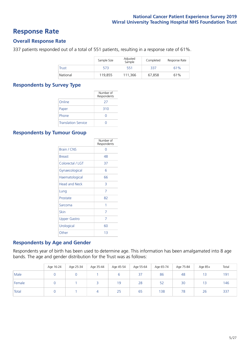### **Response Rate**

#### **Overall Response Rate**

337 patients responded out of a total of 551 patients, resulting in a response rate of 61%.

|          | Sample Size | Adjusted<br>Sample | Completed | Response Rate |
|----------|-------------|--------------------|-----------|---------------|
| Trust    | 573         | 551                | 337       | 61%           |
| National | 119.855     | 111.366            | 67.858    | 61%           |

#### **Respondents by Survey Type**

|                            | Number of<br>Respondents |
|----------------------------|--------------------------|
| Online                     | 27                       |
| Paper                      | 310                      |
| Phone                      |                          |
| <b>Translation Service</b> |                          |

#### **Respondents by Tumour Group**

|                      | Number of<br>Respondents |
|----------------------|--------------------------|
| <b>Brain / CNS</b>   | ∩                        |
| <b>Breast</b>        | 48                       |
| Colorectal / LGT     | 37                       |
| Gynaecological       | 6                        |
| Haematological       | 66                       |
| <b>Head and Neck</b> | 3                        |
| Lung                 | 7                        |
| Prostate             | 82                       |
| Sarcoma              | 1                        |
| Skin                 | 7                        |
| <b>Upper Gastro</b>  | 7                        |
| Urological           | 60                       |
| Other                | 13                       |

#### **Respondents by Age and Gender**

Respondents year of birth has been used to determine age. This information has been amalgamated into 8 age bands. The age and gender distribution for the Trust was as follows:

|        | Age 16-24 | Age 25-34 | Age 35-44 | Age 45-54 | Age 55-64 | Age 65-74 | Age 75-84 | Age 85+ | Total |
|--------|-----------|-----------|-----------|-----------|-----------|-----------|-----------|---------|-------|
| Male   |           |           |           |           | 37        | 86        | 48        | 13      | 191   |
| Female |           |           |           | 19        | 28        | 52        | 30        | 13      | 146   |
| Total  |           |           | 4         | 25        | 65        | 138       | 78        | 26      | 337   |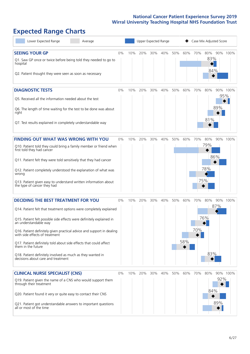# **Expected Range Charts**

| Lower Expected Range<br>Average                                                                                                                                                                                                                                                                                                                                                                                                                                                                                             |       |     | Upper Expected Range |     |     |     |            |            | Case Mix Adjusted Score         |                        |      |
|-----------------------------------------------------------------------------------------------------------------------------------------------------------------------------------------------------------------------------------------------------------------------------------------------------------------------------------------------------------------------------------------------------------------------------------------------------------------------------------------------------------------------------|-------|-----|----------------------|-----|-----|-----|------------|------------|---------------------------------|------------------------|------|
| <b>SEEING YOUR GP</b><br>Q1. Saw GP once or twice before being told they needed to go to<br>hospital<br>Q2. Patient thought they were seen as soon as necessary                                                                                                                                                                                                                                                                                                                                                             | $0\%$ | 10% | 20%                  | 30% | 40% | 50% | 60%        | 70%        | 80%<br>83%<br>84%               | 90% 100%               |      |
| <b>DIAGNOSTIC TESTS</b><br>Q5. Received all the information needed about the test<br>Q6. The length of time waiting for the test to be done was about<br>right<br>Q7. Test results explained in completely understandable way                                                                                                                                                                                                                                                                                               | 0%    | 10% | 20%                  | 30% | 40% | 50% | 60%        | 70%        | 80%<br>81%                      | 90% 100%<br>95%<br>89% |      |
| <b>FINDING OUT WHAT WAS WRONG WITH YOU</b><br>Q10. Patient told they could bring a family member or friend when<br>first told they had cancer<br>Q11. Patient felt they were told sensitively that they had cancer<br>Q12. Patient completely understood the explanation of what was<br>wrong<br>Q13. Patient given easy to understand written information about<br>the type of cancer they had                                                                                                                             | 0%    | 10% | 20%                  | 30% | 40% | 50% | 60%        | 70%        | 80%<br>79%<br>86%<br>78%<br>75% | 90%                    | 100% |
| <b>DECIDING THE BEST TREATMENT FOR YOU</b><br>Q14. Patient felt that treatment options were completely explained<br>Q15. Patient felt possible side effects were definitely explained in<br>an understandable way<br>Q16. Patient definitely given practical advice and support in dealing<br>with side effects of treatment<br>Q17. Patient definitely told about side effects that could affect<br>them in the future<br>Q18. Patient definitely involved as much as they wanted in<br>decisions about care and treatment | 0%    | 10% | 20%                  | 30% | 40% | 50% | 60%<br>58% | 70%<br>70% | 80%<br>76%<br>83%               | 90% 100%<br>87%        |      |
| <b>CLINICAL NURSE SPECIALIST (CNS)</b><br>Q19. Patient given the name of a CNS who would support them<br>through their treatment<br>Q20. Patient found it very or quite easy to contact their CNS<br>Q21. Patient got understandable answers to important questions<br>all or most of the time                                                                                                                                                                                                                              | 0%    | 10% | 20%                  | 30% | 40% | 50% | 60%        | 70%        | 80%<br>84%                      | 90% 100%<br>92%<br>89% |      |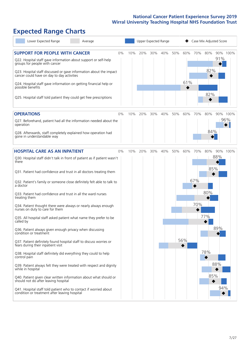# **Expected Range Charts**

| Lower Expected Range<br>Average                                                                                                      |     |     | Upper Expected Range |     |     |     |     | Case Mix Adjusted Score |     |          |
|--------------------------------------------------------------------------------------------------------------------------------------|-----|-----|----------------------|-----|-----|-----|-----|-------------------------|-----|----------|
| <b>SUPPORT FOR PEOPLE WITH CANCER</b><br>0%<br>Q22. Hospital staff gave information about support or self-help                       | 10% | 20% | 30%                  | 40% | 50% | 60% | 70% | 80%                     | 91% | 90% 100% |
| groups for people with cancer<br>Q23. Hospital staff discussed or gave information about the impact                                  |     |     |                      |     |     |     |     | 82%                     |     |          |
| cancer could have on day to day activities<br>Q24. Hospital staff gave information on getting financial help or<br>possible benefits |     |     |                      |     |     | 61% |     |                         |     |          |
| Q25. Hospital staff told patient they could get free prescriptions                                                                   |     |     |                      |     |     |     |     | 82%                     |     |          |
| <b>OPERATIONS</b><br>0%                                                                                                              | 10% | 20% | 30%                  | 40% | 50% | 60% | 70% | 80%                     |     | 90% 100% |
| Q27. Beforehand, patient had all the information needed about the<br>operation                                                       |     |     |                      |     |     |     |     |                         |     | 96%      |
| Q28. Afterwards, staff completely explained how operation had<br>gone in understandable way                                          |     |     |                      |     |     |     |     | 84%                     |     |          |
| <b>HOSPITAL CARE AS AN INPATIENT</b><br>0%                                                                                           | 10% | 20% | 30%                  | 40% | 50% | 60% | 70% | 80%                     |     | 90% 100% |
| Q30. Hospital staff didn't talk in front of patient as if patient wasn't<br>there                                                    |     |     |                      |     |     |     |     |                         | 88% |          |
| Q31. Patient had confidence and trust in all doctors treating them                                                                   |     |     |                      |     |     |     |     | 85%                     |     |          |
| Q32. Patient's family or someone close definitely felt able to talk to<br>a doctor                                                   |     |     |                      |     |     |     | 67% |                         |     |          |
| Q33. Patient had confidence and trust in all the ward nurses<br>treating them                                                        |     |     |                      |     |     |     |     | 80%                     |     |          |
| Q34. Patient thought there were always or nearly always enough<br>nurses on duty to care for them                                    |     |     |                      |     |     |     | 70% |                         |     |          |
| Q35. All hospital staff asked patient what name they prefer to be<br>called by                                                       |     |     |                      |     |     |     |     | 77%                     |     |          |
| Q36. Patient always given enough privacy when discussing<br>condition or treatment                                                   |     |     |                      |     |     |     |     |                         | 89% |          |
| Q37. Patient definitely found hospital staff to discuss worries or<br>fears during their inpatient visit                             |     |     |                      |     |     | 56% |     |                         |     |          |
| Q38. Hospital staff definitely did everything they could to help<br>control pain                                                     |     |     |                      |     |     |     |     | 78%                     |     |          |
| Q39. Patient always felt they were treated with respect and dignity<br>while in hospital                                             |     |     |                      |     |     |     |     |                         | 88% |          |
| Q40. Patient given clear written information about what should or<br>should not do after leaving hospital                            |     |     |                      |     |     |     |     | 85%                     |     |          |
| Q41. Hospital staff told patient who to contact if worried about<br>condition or treatment after leaving hospital                    |     |     |                      |     |     |     |     |                         | 94% |          |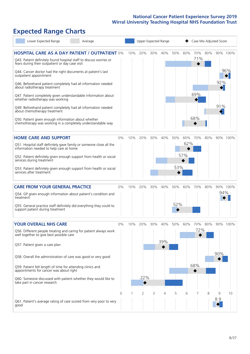# **Expected Range Charts**

| Lower Expected Range<br>Average                                                                                                                                                                                                                                                                                                                                                                                                                                                                                                                                                                                                                                                                        |                |     |                |     | Upper Expected Range |            |                   | Case Mix Adjusted Score  |     |                               |                 |
|--------------------------------------------------------------------------------------------------------------------------------------------------------------------------------------------------------------------------------------------------------------------------------------------------------------------------------------------------------------------------------------------------------------------------------------------------------------------------------------------------------------------------------------------------------------------------------------------------------------------------------------------------------------------------------------------------------|----------------|-----|----------------|-----|----------------------|------------|-------------------|--------------------------|-----|-------------------------------|-----------------|
| <b>HOSPITAL CARE AS A DAY PATIENT / OUTPATIENT 0%</b><br>Q43. Patient definitely found hospital staff to discuss worries or<br>fears during their outpatient or day case visit<br>Q44. Cancer doctor had the right documents at patient's last<br>outpatient appointment<br>Q46. Beforehand patient completely had all information needed<br>about radiotherapy treatment<br>Q47. Patient completely given understandable information about<br>whether radiotherapy was working<br>Q49. Beforehand patient completely had all information needed<br>about chemotherapy treatment<br>Q50. Patient given enough information about whether<br>chemotherapy was working in a completely understandable way |                | 10% | 20%            | 30% | 40%                  | 50%        | 60%               | 70%<br>71%<br>69%<br>68% | 80% | 92%<br>$\blacklozenge$<br>91% | 90% 100%<br>96% |
| <b>HOME CARE AND SUPPORT</b><br>Q51. Hospital staff definitely gave family or someone close all the<br>information needed to help care at home<br>Q52. Patient definitely given enough support from health or social<br>services during treatment<br>Q53. Patient definitely given enough support from health or social<br>services after treatment                                                                                                                                                                                                                                                                                                                                                    | 0%             | 10% | 20%            | 30% | 40%                  | 50%<br>53% | 60%<br>62%<br>57% | 70%                      | 80% |                               | 90% 100%        |
| <b>CARE FROM YOUR GENERAL PRACTICE</b><br>Q54. GP given enough information about patient's condition and<br>treatment<br>Q55. General practice staff definitely did everything they could to<br>support patient during treatment                                                                                                                                                                                                                                                                                                                                                                                                                                                                       | 0%             | 10% | 20%            | 30% | 40%                  | 50%<br>52% | 60%               | 70%                      | 80% | 94%                           | 90% 100%        |
| <b>YOUR OVERALL NHS CARE</b><br>Q56. Different people treating and caring for patient always work<br>well together to give best possible care<br>Q57. Patient given a care plan<br>Q58. Overall the administration of care was good or very good<br>Q59. Patient felt length of time for attending clinics and<br>appointments for cancer was about right<br>Q60. Someone discussed with patient whether they would like to<br>take part in cancer research                                                                                                                                                                                                                                            | $0\%$          | 10% | 20%<br>22%     | 30% | 40%<br>39%           | 50%        | 60%               | 70%<br>72%<br>68%        | 80% | 90%                           | 90% 100%        |
| Q61. Patient's average rating of care scored from very poor to very<br>good                                                                                                                                                                                                                                                                                                                                                                                                                                                                                                                                                                                                                            | $\overline{0}$ | 1   | $\overline{2}$ | 3   | 4                    | 5          | 6                 |                          | 8   | 9<br>8.9                      | 10              |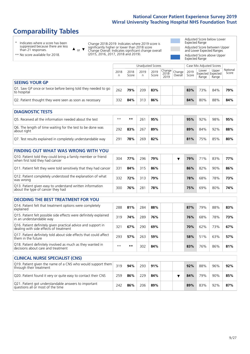# **Comparability Tables**

\* Indicates where a score has been suppressed because there are less than 21 responses.

\*\* No score available for 2018.

 $\triangle$  or  $\nabla$ Change 2018-2019: Indicates where 2019 score is significantly higher or lower than 2018 score Change Overall: Indicates significant change overall (2015, 2016, 2017, 2018 and 2019).

Adjusted Score below Lower Expected Range Adjusted Score between Upper and Lower Expected Ranges Adjusted Score above Upper Expected Range

|                                                                             | Case Mix Adjusted Scores<br>Unadjusted Scores |               |           |               |                  |                                                 |               |                |                                     |                   |  |
|-----------------------------------------------------------------------------|-----------------------------------------------|---------------|-----------|---------------|------------------|-------------------------------------------------|---------------|----------------|-------------------------------------|-------------------|--|
|                                                                             | 2018<br>n                                     | 2018<br>Score | 2019<br>n | 2019<br>Score | $2018 -$<br>2019 | $\sqrt{C}$ Trange   Change   $\cdot$<br>Overall | 2019<br>Score | Lower<br>Range | Upper<br>Expected Expected<br>Range | National<br>Score |  |
| <b>SEEING YOUR GP</b>                                                       |                                               |               |           |               |                  |                                                 |               |                |                                     |                   |  |
| Q1. Saw GP once or twice before being told they needed to go<br>to hospital | 262                                           | 79%           | 209       | 83%           |                  |                                                 | 83%           | 73%            | 84%                                 | 79%               |  |
| Q2. Patient thought they were seen as soon as necessary                     | 332                                           | 84%           | 313       | 86%           |                  |                                                 | 84%           | 80%            | 88%                                 | 84%               |  |
| <b>DIAGNOSTIC TESTS</b>                                                     |                                               |               |           |               |                  |                                                 |               |                |                                     |                   |  |

| O5. Received all the information needed about the test                    | $***$ | **  | 261 | 95% | 95% | 92% | 98% | 95% |
|---------------------------------------------------------------------------|-------|-----|-----|-----|-----|-----|-----|-----|
| Q6. The length of time waiting for the test to be done was<br>about right | 292   | 83% | 267 | 89% | 89% | 84% | 92% | 88% |
| Q7. Test results explained in completely understandable way               | 291   | 78% | 269 | 82% | 81% | 75% | 85% | 80% |

| <b>FINDING OUT WHAT WAS WRONG WITH YOU</b>                                                      |     |     |     |     |  |     |     |     |     |
|-------------------------------------------------------------------------------------------------|-----|-----|-----|-----|--|-----|-----|-----|-----|
| Q10. Patient told they could bring a family member or friend<br>when first told they had cancer | 304 | 77% | 296 | 79% |  | 79% | 71% | 83% | 77% |
| Q11. Patient felt they were told sensitively that they had cancer                               | 331 | 84% | 315 | 86% |  | 86% | 82% | 90% | 86% |
| Q12. Patient completely understood the explanation of what<br>was wrong                         | 332 | 72% | 313 | 79% |  | 78% | 68% | 78% | 73% |
| Q13. Patient given easy to understand written information<br>about the type of cancer they had  | 300 | 76% | 281 | 78% |  | 75% | 69% | 80% | 74% |

| <b>DECIDING THE BEST TREATMENT FOR YOU</b>                                                              |      |     |     |     |     |     |     |     |
|---------------------------------------------------------------------------------------------------------|------|-----|-----|-----|-----|-----|-----|-----|
| Q14. Patient felt that treatment options were completely<br>explained                                   | 288  | 81% | 284 | 88% | 87% | 79% | 88% | 83% |
| Q15. Patient felt possible side effects were definitely explained<br>in an understandable way           | 319  | 74% | 289 | 76% | 76% | 68% | 78% | 73% |
| Q16. Patient definitely given practical advice and support in<br>dealing with side effects of treatment | 321  | 67% | 290 | 69% | 70% | 62% | 73% | 67% |
| Q17. Patient definitely told about side effects that could affect<br>them in the future                 | 293  | 57% | 263 | 59% | 58% | 51% | 63% | 57% |
| Q18. Patient definitely involved as much as they wanted in<br>decisions about care and treatment        | $**$ | **  | 302 | 84% | 83% | 76% | 86% | 81% |

| <b>CLINICAL NURSE SPECIALIST (CNS)</b>                                                    |     |     |     |     |  |     |     |     |     |
|-------------------------------------------------------------------------------------------|-----|-----|-----|-----|--|-----|-----|-----|-----|
| Q19. Patient given the name of a CNS who would support them<br>through their treatment    | 319 | 94% | 293 | 91% |  | 92% | 88% | 96% | 92% |
| Q20. Patient found it very or quite easy to contact their CNS                             | 259 | 86% | 229 | 84% |  | 84% | 79% | 90% | 85% |
| Q21. Patient got understandable answers to important<br>questions all or most of the time | 242 | 86% | 206 | 89% |  | 89% | 83% | 92% | 87% |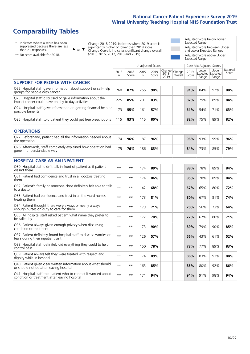# **Comparability Tables**

\* Indicates where a score has been suppressed because there are less than 21 responses.

\*\* No score available for 2018.

 $\triangle$  or  $\nabla$ 

Change 2018-2019: Indicates where 2019 score is significantly higher or lower than 2018 score Change Overall: Indicates significant change overall (2015, 2016, 2017, 2018 and 2019).

Adjusted Score below Lower Expected Range Adjusted Score between Upper and Lower Expected Ranges Adjusted Score above Upper Expected Range

|                                                                                                                   |              |               | <b>Unadjusted Scores</b> |               |                         |                   |               | Case Mix Adjusted Scores            |                |                   |
|-------------------------------------------------------------------------------------------------------------------|--------------|---------------|--------------------------|---------------|-------------------------|-------------------|---------------|-------------------------------------|----------------|-------------------|
|                                                                                                                   | 2018<br>n    | 2018<br>Score | 2019<br>n.               | 2019<br>Score | Change<br>2018-<br>2019 | Change<br>Overall | 2019<br>Score | Lower<br>Expected Expected<br>Range | Upper<br>Range | National<br>Score |
| <b>SUPPORT FOR PEOPLE WITH CANCER</b>                                                                             |              |               |                          |               |                         |                   |               |                                     |                |                   |
| Q22. Hospital staff gave information about support or self-help<br>groups for people with cancer                  | 260          | 87%           | 255                      | 90%           |                         |                   | 91%           | 84%                                 | 92%            | 88%               |
| Q23. Hospital staff discussed or gave information about the<br>impact cancer could have on day to day activities  | 225          | 85%           | 201                      | 83%           |                         |                   | 82%           | 79%                                 | 89%            | 84%               |
| Q24. Hospital staff gave information on getting financial help or<br>possible benefits                            | 173          | 55%           | 161                      | 57%           |                         |                   | 61%           | 54%                                 | 71%            | 63%               |
| Q25. Hospital staff told patient they could get free prescriptions                                                | 115          | 83%           | 115                      | 80%           |                         |                   | 82%           | 75%                                 | 89%            | 82%               |
| <b>OPERATIONS</b>                                                                                                 |              |               |                          |               |                         |                   |               |                                     |                |                   |
| Q27. Beforehand, patient had all the information needed about<br>the operation                                    | 174          | 96%           | 187                      | 96%           |                         |                   | 96%           | 93%                                 | 99%            | 96%               |
| Q28. Afterwards, staff completely explained how operation had<br>gone in understandable way                       | 175          | 76%           | 186                      | 83%           |                         |                   | 84%           | 73%                                 | 85%            | 79%               |
| <b>HOSPITAL CARE AS AN INPATIENT</b>                                                                              |              |               |                          |               |                         |                   |               |                                     |                |                   |
| Q30. Hospital staff didn't talk in front of patient as if patient<br>wasn't there                                 | $* *$        | **            | 174                      | 89%           |                         |                   | 88%           | 78%                                 | 89%            | 84%               |
| Q31. Patient had confidence and trust in all doctors treating<br>them                                             | $**$         | $\star\star$  | 174                      | 86%           |                         |                   | 85%           | 78%                                 | 89%            | 84%               |
| Q32. Patient's family or someone close definitely felt able to talk<br>to a doctor                                | $* *$        | **            | 142                      | 68%           |                         |                   | 67%           | 65%                                 | 80%            | 72%               |
| O33. Patient had confidence and trust in all the ward nurses<br>treating them                                     | $**$         | **            | 173                      | 81%           |                         |                   | 80%           | 67%                                 | 81%            | 74%               |
| Q34. Patient thought there were always or nearly always<br>enough nurses on duty to care for them                 | $* *$        | **            | 173                      | 71%           |                         |                   | 70%           | 56%                                 | 73%            | 64%               |
| Q35. All hospital staff asked patient what name they prefer to<br>be called by                                    | $* *$        | $***$         | 172                      | 78%           |                         |                   | 77%           | 62%                                 | 80%            | 71%               |
| Q36. Patient always given enough privacy when discussing<br>condition or treatment                                | $**$         | $***$         | 173                      | 90%           |                         |                   | 89%           | 79%                                 | 90%            | 85%               |
| Q37. Patient definitely found hospital staff to discuss worries or<br>fears during their inpatient visit          | $**$         | **            | 126                      | 57%           |                         |                   | 56%           | 43%                                 | 61%            | 52%               |
| Q38. Hospital staff definitely did everything they could to help<br>control pain                                  | $\star\star$ | $***$         | 150                      | 78%           |                         |                   | 78%           | 77%                                 | 89%            | 83%               |
| Q39. Patient always felt they were treated with respect and<br>dignity while in hospital                          | $***$        | **            | 174                      | 89%           |                         |                   | 88%           | 83%                                 | 93%            | 88%               |
| Q40. Patient given clear written information about what should<br>or should not do after leaving hospital         | $**$         | **            | 163                      | 85%           |                         |                   | 85%           | 80%                                 | 92%            | 86%               |
| Q41. Hospital staff told patient who to contact if worried about<br>condition or treatment after leaving hospital | $**$         | **            | 171                      | 94%           |                         |                   | 94%           | 91%                                 | 98%            | 94%               |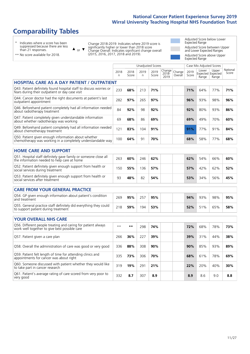# **Comparability Tables**

\* Indicates where a score has been suppressed because there are less than 21 responses.

\*\* No score available for 2018.

 $\triangle$  or  $\nabla$ 

Change 2018-2019: Indicates where 2019 score is significantly higher or lower than 2018 score Change Overall: Indicates significant change overall (2015, 2016, 2017, 2018 and 2019).

Adjusted Score below Lower Expected Range Adjusted Score between Upper and Lower Expected Ranges Adjusted Score above Upper Expected Range

|                                                                                                                       |              |               | <b>Unadjusted Scores</b> |               |                            |                   |               | Case Mix Adjusted Scores            |                |                   |
|-----------------------------------------------------------------------------------------------------------------------|--------------|---------------|--------------------------|---------------|----------------------------|-------------------|---------------|-------------------------------------|----------------|-------------------|
|                                                                                                                       | 2018<br>n    | 2018<br>Score | 2019<br>$\mathsf{n}$     | 2019<br>Score | Change<br>$2018 -$<br>2019 | Change<br>Overall | 2019<br>Score | Lower<br>Expected Expected<br>Range | Upper<br>Range | National<br>Score |
| <b>HOSPITAL CARE AS A DAY PATIENT / OUTPATIENT</b>                                                                    |              |               |                          |               |                            |                   |               |                                     |                |                   |
| Q43. Patient definitely found hospital staff to discuss worries or<br>fears during their outpatient or day case visit | 233          | 68%           | 213                      | 71%           |                            |                   | 71%           | 64%                                 | 77%            | 71%               |
| Q44. Cancer doctor had the right documents at patient's last<br>outpatient appointment                                | 282          | 97%           | 265                      | 97%           |                            |                   | 96%           | 93%                                 | 98%            | 96%               |
| Q46. Beforehand patient completely had all information needed<br>about radiotherapy treatment                         | 84           | 92%           | 98                       | 92%           |                            |                   | 92%           | 80%                                 | 93%            | 86%               |
| Q47. Patient completely given understandable information<br>about whether radiotherapy was working                    | 69           | 68%           | 86                       | 69%           |                            |                   | 69%           | 49%                                 | 70%            | 60%               |
| Q49. Beforehand patient completely had all information needed<br>about chemotherapy treatment                         | 121          | 83%           | 104                      | 91%           |                            |                   | 91%           | 77%                                 | 91%            | 84%               |
| Q50. Patient given enough information about whether<br>chemotherapy was working in a completely understandable way    | 100          | 64%           | 91                       | 70%           |                            |                   | 68%           | 58%                                 | 77%            | 68%               |
| <b>HOME CARE AND SUPPORT</b>                                                                                          |              |               |                          |               |                            |                   |               |                                     |                |                   |
| Q51. Hospital staff definitely gave family or someone close all<br>the information needed to help care at home        | 263          | 60%           | 246                      | 62%           |                            |                   | 62%           | 54%                                 | 66%            | 60%               |
| Q52. Patient definitely given enough support from health or<br>social services during treatment                       | 150          | 55%           | 136                      | 57%           |                            |                   | 57%           | 42%                                 | 62%            | 52%               |
| Q53. Patient definitely given enough support from health or<br>social services after treatment                        | 93           | 48%           | 82                       | 54%           |                            |                   | 53%           | 34%                                 | 56%            | 45%               |
| <b>CARE FROM YOUR GENERAL PRACTICE</b>                                                                                |              |               |                          |               |                            |                   |               |                                     |                |                   |
| Q54. GP given enough information about patient's condition<br>and treatment                                           | 269          | 95%           | 257                      | 95%           |                            |                   | 94%           | 93%                                 | 98%            | 95%               |
| Q55. General practice staff definitely did everything they could<br>to support patient during treatment               | 218          | 59%           | 194                      | 53%           |                            |                   | 52%           | 51%                                 | 65%            | 58%               |
| <b>YOUR OVERALL NHS CARE</b>                                                                                          |              |               |                          |               |                            |                   |               |                                     |                |                   |
| Q56. Different people treating and caring for patient always                                                          | $\star\star$ |               |                          |               |                            |                   |               |                                     |                |                   |
| work well together to give best possible care                                                                         |              | $***$         | 298                      | 74%           |                            |                   | 72%           | 68%                                 | 78%            | 73%               |
| Q57. Patient given a care plan                                                                                        | 266          | 36%           | 227                      | 39%           |                            |                   | 39%           | 31%                                 | 44%            | 38%               |
| Q58. Overall the administration of care was good or very good                                                         | 336          | 88%           | 308                      | 90%           |                            |                   | 90%           | 85%                                 | 93%            | 89%               |
| Q59. Patient felt length of time for attending clinics and<br>appointments for cancer was about right                 | 335          | 73%           | 306                      | 70%           |                            |                   | 68%           | 61%                                 | 78%            | 69%               |
| Q60. Someone discussed with patient whether they would like<br>to take part in cancer research                        | 319          | 19%           | 291                      | 21%           |                            |                   | 22%           | 20%                                 | 40%            | 30%               |
| Q61. Patient's average rating of care scored from very poor to<br>very good                                           | 332          | 8.7           | 307                      | 8.9           |                            |                   | 8.9           | 8.6                                 | 9.0            | 8.8               |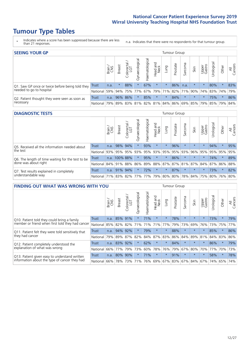# **Tumour Type Tables**

- \* Indicates where a score has been suppressed because there are less than 21 responses.
- n.a. Indicates that there were no respondents for that tumour group.

| <b>SEEING YOUR GP</b>                           |          |       |               |                   |                                     |                |                  |                    | Tumour Group |         |                                         |                 |                     |         |                |
|-------------------------------------------------|----------|-------|---------------|-------------------|-------------------------------------|----------------|------------------|--------------------|--------------|---------|-----------------------------------------|-----------------|---------------------|---------|----------------|
|                                                 |          | Brain | <b>Breast</b> | Colorectal<br>LGT | $\overline{\sigma}$<br>Gynaecologic | Haematological | Head and<br>Neck | Lung               | Prostate     | Sarcoma | Skin                                    | Upper<br>Gastro | —<br>Irologica      | Other   | All<br>Cancers |
| Q1. Saw GP once or twice before being told they | Trust    | n.a.  |               | 88%               |                                     | 67%            | $\star$          | $\star$            | 86%          | n.a.    | $\star$                                 | $\star$         | 80%                 | $\star$ | 83%            |
| needed to go to hospital                        | National | 59%   |               | 94% 75%           | 77%                                 |                |                  | $ 67\% 79\% 71\% $ | 82%          |         |                                         |                 | 71% 90% 74% 83% 74% |         | 79%            |
| Q2. Patient thought they were seen as soon as   | Trust    | n.a.  |               | 96% 86%           | $\star$                             | 85%            | $\star$          | $\star$            | 84%          | $\star$ | $\star$                                 | $\star$         | 75%                 | $\star$ | 86%            |
| necessary                                       | National | 79%   |               |                   |                                     |                |                  |                    |              |         | 89% 83% 81% 82% 81% 84% 86% 69% 85% 79% |                 | 85% 79%             |         | 84%            |

#### **DIAGNOSTIC TESTS** Tumour Group

|                                                   |                                          | Brain | <b>Breast</b> | olorectal<br>LGT<br>Ü | Gynaecological | Haematological | Head and<br>Neck | Lung    | Prostate | Sarcoma | Skin    | Upper<br>Gastro | Irological                                  | Other   | All<br>Cancers |
|---------------------------------------------------|------------------------------------------|-------|---------------|-----------------------|----------------|----------------|------------------|---------|----------|---------|---------|-----------------|---------------------------------------------|---------|----------------|
| Q5. Received all the information needed about     | <b>Trust</b>                             | n.a.  | 98% 94%       |                       |                | 93%            | $\star$          | $\star$ | 96%      | $\star$ | $\star$ | $\star$         | 94%                                         | $\star$ | 95%            |
| the test                                          | National                                 | 93%   | 95%           | 95%                   | 93%            | 95%            |                  | 93% 95% | 95%      | 93%     | 96%     | 95%             | 95%                                         | 95%     | 95%            |
| Q6. The length of time waiting for the test to be | Trust                                    | n.a.  | 100% 88%      |                       | $\star$        | 95%            | $\star$          | $\star$ | 86%      |         | $\star$ | $\star$         | 74%                                         | $\star$ | 89%            |
| done was about right                              | National 84% 91%                         |       |               | 88%                   |                |                |                  |         |          |         |         |                 | 86% 89% 88% 87% 87% 81% 87% 84% 87% 86% 88% |         |                |
| Q7. Test results explained in completely          | <b>Trust</b>                             | n.a.  | 91%           | 94%                   |                | 72%            | $\star$          | $\star$ | 87%      | $\star$ | $\star$ | $\star$         | 73%                                         | $\star$ | 82%            |
| understandable way                                | National 71% 83% 82% 77% 77% 79% 80% 80% |       |               |                       |                |                |                  |         |          |         |         |                 | 78% 84% 75% 80% 76% 80%                     |         |                |

| <b>FINDING OUT WHAT WAS WRONG WITH YOU</b>        |              |       |               |                 |                |                |                        |             | <b>Tumour Group</b> |         |         |                 |           |         |                |
|---------------------------------------------------|--------------|-------|---------------|-----------------|----------------|----------------|------------------------|-------------|---------------------|---------|---------|-----------------|-----------|---------|----------------|
|                                                   |              | Brain | <b>Breast</b> | ╮<br>Colorectal | Gynaecological | Haematological | ad and<br>Neck<br>Head | Lung        | Prostate            | Sarcoma | Skin    | Upper<br>Gastro | Jrologica | Other   | All<br>Cancers |
| Q10. Patient told they could bring a family       | <b>Trust</b> | n.a.  | 85%           | 91%             | $\star$        | 71%            | $\star$                | $\star$     | 78%                 | $\star$ | $\star$ | $\star$         | 73%       | $\star$ | 79%            |
| member or friend when first told they had cancer  | National     | 85%   | 82%           | 82%             | 71%            | 71%            | 71%                    | 77%         | 79%                 | 73%     | 69%     | 76%             |           | 73% 75% | 77%            |
| Q11. Patient felt they were told sensitively that | Trust        | n.a.  | 94%           | 92%             | $\star$        | 79%            | $\star$                | $\star$     | 88%                 | $\star$ | $\star$ | $\star$         | 85%       | $\star$ | 86%            |
| they had cancer                                   | National     | 79%   | 89%           | 87%             | 82%            | 84%            | 87%                    | 83%         | 86%                 | 84%     | 89%     | 81%             | 84% 83%   |         | 86%            |
| Q12. Patient completely understood the            | Trust        | n.a.  |               | 83% 92%         | $\star$        | 62%            | $\star$                | $\star$     | 84%                 | $\star$ | $\star$ | $\star$         | 86%       | $\star$ | 79%            |
| explanation of what was wrong                     | National     | 66%   | 77%           | 79%             | 73%            | 60%            | 78%                    | 76%         | 79%                 | 67%     | 80%     | 70%             | 77%       | 70%     | 73%            |
| Q13. Patient given easy to understand written     | Trust        | n.a.  | 80%           | 90%             |                | 71%            | $\star$                | $\star$     | 91%                 | $\star$ | $\star$ | $\star$         | 58%       | $\ast$  | 78%            |
| information about the type of cancer they had     | National     | 66%   |               | 78% 73%         | 71%            | 76%            |                        | 69% 67% 83% |                     |         | 67% 84% | 67%             | 74%       | 65%     | 74%            |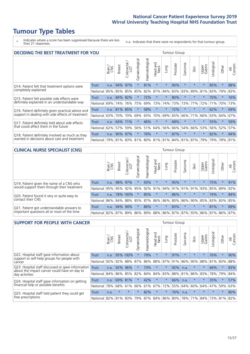# **Tumour Type Tables**

\* Indicates where a score has been suppressed because there are less than 21 responses.

n.a. Indicates that there were no respondents for that tumour group.

| <b>DECIDING THE BEST TREATMENT FOR YOU</b>         |              |       |               |                             |                |                                     |                        |         | <b>Tumour Group</b> |          |         |                 |            |         |                |
|----------------------------------------------------|--------------|-------|---------------|-----------------------------|----------------|-------------------------------------|------------------------|---------|---------------------|----------|---------|-----------------|------------|---------|----------------|
|                                                    |              | Brain | <b>Breast</b> | blorectal.<br>LGT<br>$\cup$ | Gynaecological | Haematological                      | ad and<br>Neck<br>Head | Lung    | Prostate            | Sarcoma  | Skin    | Upper<br>Gastro | Jrological | Other   | All<br>Cancers |
| Q14. Patient felt that treatment options were      | <b>Trust</b> | n.a.  | 94%           | 97%                         | $\star$        | 81%                                 | $\star$                | $\star$ | 90%                 | $\star$  |         | $\star$         | 85%        | $\star$ | 88%            |
| completely explained                               | National     | 85%   | 85%           | 85%                         | 85%            | 82%                                 | 87%                    | 84%     | 83%                 | 83%      | 89%     | 81%             | 83%        | 79%     | 83%            |
| Q15. Patient felt possible side effects were       | Trust        | n.a.  | 84%           | 82%                         | $\star$        | 72%                                 | $\star$                | $\star$ | 80%                 | $\star$  |         | $\star$         | 70%        | $\star$ | 76%            |
| definitely explained in an understandable way      | National     | 69%   | 74%           | 76%                         | 75%            | 69%                                 | 73%                    | 74%     | 73%                 | 73%      | 77%     | 72%             | 71%        | 70%     | 73%            |
| Q16. Patient definitely given practical advice and | Trust        | n.a.  | 81%           | 85%                         | $\star$        | 58%                                 | $\star$                | $\star$ | 72%                 | $^\star$ |         | $\star$         | 62%        | $\star$ | 69%            |
| support in dealing with side effects of treatment  | National     | 63%   | 70%           | 70%                         | 69%            | 65%                                 | 70%                    | 69%     | 65%                 | 66%      | 71%     | 66%             | 63%        | 64%     | 67%            |
| Q17. Patient definitely told about side effects    | Trust        | n.a.  | 64%           | 71%                         | $\star$        | 46%                                 | $\star$                | $\star$ | 68%                 | $\star$  | $\star$ | $\star$         | 55%        | $\star$ | 59%            |
| that could affect them in the future               | National     | 62%   | 57%           | 59%                         | 56%            | 51%                                 | 64%                    | 56%     | 66%                 | 54%      | 66%     | 53%             | 56%        | 52%     | 57%            |
| Q18. Patient definitely involved as much as they   | Trust        | n.a.  | 90%           | 97%                         | $\star$        | 76%                                 | $\star$                | $\star$ | 87%                 | $\star$  | $\star$ | $\star$         | 82%        | $\ast$  | 84%            |
| wanted in decisions about care and treatment       | National     | 79%   |               |                             |                | 81% 83% 81% 80% 81% 81% 84% 81% 87% |                        |         |                     |          |         | 79%             | 79%        | 78% 81% |                |

#### **CLINICAL NURSE SPECIALIST (CNS)** Tumour Group

|                                             |              | Brain | <b>Breast</b> | Colorectal<br>LGT | $\sigma$<br>Gynaecologic | Haematological  | Head and<br>Neck | Lung    | Prostate | Sarcoma | Skin                    | Upper<br>Gastro | rologica | Other       | All<br>Cancers |
|---------------------------------------------|--------------|-------|---------------|-------------------|--------------------------|-----------------|------------------|---------|----------|---------|-------------------------|-----------------|----------|-------------|----------------|
| Q19. Patient given the name of a CNS who    | <b>Trust</b> | n.a.  |               | 98% 97%           |                          | 93%             | $\star$          | $\star$ | 95%      | $\star$ | $\star$                 |                 | 75%      | $\star$     | 91%            |
| would support them through their treatment  | National     | 95%   | 95%           | 92%               | 95%                      | 92%             | 91%              | 94% 91% |          | 91%     | 91%                     | 93%             | 85% 89%  |             | 92%            |
| Q20. Patient found it very or quite easy to | Trust        | n.a.  |               | 78% 100%          |                          | 85%             | $\star$          | $\star$ | 86%      |         | $\star$                 | $\star$         | 74%      | $\star$     | 84%            |
| contact their CNS                           | National     | 86%   | 84%           | 88%               | 85%                      | 87% 86% 86% 80% |                  |         |          | 86%     | 90%                     | 85%             |          | 83% 83%     | 85%            |
| Q21. Patient got understandable answers to  | Trust        | n.a.  | 94%           | 94%               | $\star$                  | 86%             | $\star$          | $\star$ | 83%      | $\star$ | $\star$                 | $\star$         | 81%      | $\star$     | 89%            |
| important questions all or most of the time | National     | 82%   | 87%           | 89%               | 86%                      |                 |                  |         |          |         | 89% 88% 86% 87% 87% 93% | 86%             |          | 87% 86% 87% |                |

| <b>SUPPORT FOR PEOPLE WITH CANCER</b>                                                             |              |       |               |                 |                |                |                         |         | Tumour Group |              |         |                 |            |         |                |
|---------------------------------------------------------------------------------------------------|--------------|-------|---------------|-----------------|----------------|----------------|-------------------------|---------|--------------|--------------|---------|-----------------|------------|---------|----------------|
|                                                                                                   |              | Brain | <b>Breast</b> | ╮<br>Colorectal | Gynaecological | Haematological | ead and<br>Neck<br>Head | Lung    | Prostate     | arcoma<br>ιñ | Skin    | Upper<br>Gastro | Jrological | Other   | All<br>Cancers |
| Q22. Hospital staff gave information about<br>support or self-help groups for people with         | <b>Trust</b> | n.a.  |               | 95% 100%        | $\star$        | 79%            | $\star$                 | $\star$ | 97%          | $\star$      | $\star$ | $\star$         | 76%        | $\star$ | 90%            |
| cancer                                                                                            | National     | 92%   | 92%           | 88%             | 87%            | 86%            | 88%                     | 87%     | 91%          | 86%          | 90%     | 88%             | 81%        | 83%     | 88%            |
| Q23. Hospital staff discussed or gave information<br>about the impact cancer could have on day to | Trust        | n.a.  | 92%           | 96%             |                | 73%            | $\star$                 | $\star$ | 92%          | n.a.         |         | $\star$         | 66%        | $\star$ | 83%            |
| day activities                                                                                    | National     | 84%   |               | 86% 85%         | 82%            | 84%            | 84%                     | 83%     | 88%          | 81%          | 86%     | 83%             | 78%        | 79%     | 84%            |
| Q24. Hospital staff gave information on getting                                                   | Trust        | n.a.  |               | 69% 81%         | $\star$        | 42%            | $\star$                 | $\star$ | 66%          | n.a.         | $\star$ | $\star$         | 35%        | $\ast$  | 57%            |
| financial help or possible benefits                                                               | National     | 78%   |               | 68% 61%         | 66%            |                | 61% 67%                 | 72%     | 55%          | 64%          | 60%     | 64%             | 47%        | 59%     | 63%            |
| Q25. Hospital staff told patient they could get                                                   | Trust        | n.a.  | $\star$       | $\star$         | $\star$        | 82%            | $\star$                 | $\star$ | 76%          | n.a.         | $\star$ | $\star$         | $\star$    | $\star$ | 80%            |
| free prescriptions                                                                                | National     | 82%   | 81%           | 83%             | 79%            | 87%            | 84%                     | 86%     | 80%          | 78%          | 71%     | 84%             | 73%        | 81%     | 82%            |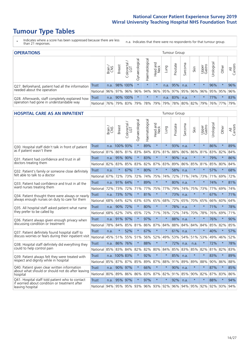# **Tumour Type Tables**

- \* Indicates where a score has been suppressed because there are less than 21 responses.
- n.a. Indicates that there were no respondents for that tumour group.

| <b>OPERATIONS</b>                                |              |       |               |                   |                   |                |                  |             | Tumour Group |         |                                     |                 |            |         |                |
|--------------------------------------------------|--------------|-------|---------------|-------------------|-------------------|----------------|------------------|-------------|--------------|---------|-------------------------------------|-----------------|------------|---------|----------------|
|                                                  |              | Brain | <b>Breast</b> | Colorectal<br>LGT | ত<br>Gynaecologic | Haematological | Head and<br>Neck | <b>Dung</b> | Prostate     | Sarcoma | Skin                                | Upper<br>Gastro | Urological | Other   | All<br>Cancers |
| Q27. Beforehand, patient had all the information | <b>Trust</b> | n.a.  |               | 98% 100%          | $\star$           | $\star$        | $\star$          | n.a.        | 95%          | n.a.    | $\star$                             | $\star$         | 96%        |         | 96%            |
| needed about the operation                       | National l   | 96%   | 97%           | 96%               | 96%               |                |                  |             |              |         | 94% 96% 95% 97% 95% 96% 96% 95% 95% |                 |            |         | 96%            |
| Q28. Afterwards, staff completely explained how  | <b>Trust</b> | n.a.  |               | 90% 100%          | $\star$           | $\star$        | $\star$          | n.a.        | 83%          | n.a.    | $\star$                             | $\star$         | 77%        | $\star$ | 83%            |
| operation had gone in understandable way         | National I   | 76%   |               | 79% 83%           |                   | 79% 78% 79%    |                  |             | 79% 78%      |         | 80% 82% 79% 76% 77%                 |                 |            |         | 79%            |

#### **HOSPITAL CARE AS AN INPATIENT** Tumour Group

|                                                                                                  |              | Brain | Breast                      | $\overline{\phantom{0}}$<br>Colorectal /<br>LGT | Gynaecological | Haematological | Head and<br>Neck | Lung    | Prostate | Sarcoma | Skin    | Upper<br>Gastro | Urological      | Other   | All<br>Cancers |
|--------------------------------------------------------------------------------------------------|--------------|-------|-----------------------------|-------------------------------------------------|----------------|----------------|------------------|---------|----------|---------|---------|-----------------|-----------------|---------|----------------|
| Q30. Hospital staff didn't talk in front of patient                                              | <b>Trust</b> |       | n.a. 100% 93%               |                                                 | $\star$        | 89%            | $\star$          | $\star$ | 93%      | n.a.    | $\star$ | $\star$         | 86%             | $\star$ | 89%            |
| as if patient wasn't there                                                                       | National     | 81%   | 86%                         | 81%                                             | 83%            | 84%            | 83%              | 81%     | 88%      | 86%     | 86%     | 81%             | 83%             | 82%     | 84%            |
| 031. Patient had confidence and trust in all                                                     | Trust        | n.a.  | 95%                         | 90%                                             |                | 83%            | $\star$          | $\star$ | 90%      | n.a.    | $\star$ |                 | 79%             | $\star$ | 86%            |
| doctors treating them                                                                            | National     | 82%   | 83%                         | 85%                                             | 83%            |                | 82% 87% 83%      |         | 89%      | 86%     |         | 85% 81%         | 85%             | 80%     | 84%            |
| Q32. Patient's family or someone close definitely                                                | <b>Trust</b> | n.a.  | $\star$                     | 67%                                             | $\star$        | 80%            | $\star$          | $\star$ | 58%      | n.a.    | $\star$ | $\star$         | 57%             | $\star$ | 68%            |
| felt able to talk to a doctor                                                                    | National     | 67%   | 72%                         | 73%                                             | 72%            | 74%            | 75% 74%          |         | 72%      | 71%     | 74%     | 73%             | 71%             | 69%     | 72%            |
| Q33. Patient had confidence and trust in all the                                                 | <b>Trust</b> | n.a.  | 91%                         | 64%                                             | $\star$        | 89%            | $\star$          | $\star$ | 80%      | n.a.    | $\star$ | $\star$         | 74%             | $\star$ | 81%            |
| ward nurses treating them                                                                        | National     | 72%   | 73%                         | 72%                                             | 71%            | 77% 75% 77%    |                  |         | 79%      | 74%     | 75%     | 73%             | 77%             | 69%     | 74%            |
| Q34. Patient thought there were always or nearly                                                 | <b>Trust</b> | n.a.  | 73%                         | 57%                                             | $\star$        | 81%            | $\star$          | $\star$ | 73%      | n.a.    | $\star$ | $\star$         | 67%             | $\star$ | 71%            |
| always enough nurses on duty to care for them                                                    | National     | 68%   | 64%                         | 62%                                             | 63%            | 63%            | 65% 68%          |         | 72%      | 65%     |         | 70% 65%         | 66%             | 60%     | 64%            |
| Q35. All hospital staff asked patient what name                                                  | <b>Trust</b> | n.a.  | 90% 72%                     |                                                 | $\star$        | 80%            | $\star$          | $\star$ | 78%      | n.a.    | $\star$ | $\star$         | 71%             | $\star$ | 78%            |
| they prefer to be called by                                                                      | National     | 68%   | 62%                         | 74%                                             | 65%            | 72%            | 71% 76%          |         | 72%      | 74%     | 70%     | 78%             | 76%             | 69%     | 71%            |
| Q36. Patient always given enough privacy when                                                    | <b>Trust</b> | n.a.  | 91%                         | 97%                                             |                | 97%            | $\star$          | $\star$ | 88%      | n.a.    | $\star$ |                 | 76%             | $\star$ | 90%            |
| discussing condition or treatment                                                                | National     | 78%   | 84%                         | 85%                                             | 81%            |                | 86% 87% 84%      |         | 88%      | 84%     | 84%     | 84%             | 85%             | 82%     | 85%            |
| Q37. Patient definitely found hospital staff to                                                  | <b>Trust</b> | n.a.  | $\star$                     | 52%                                             | $\star$        | 67%            | $\star$          | $\star$ | 61%      | n.a.    | $\star$ |                 | 40%             | $\star$ | 57%            |
| discuss worries or fears during their inpatient visit                                            | National     | 45%   | 51%                         | 55%                                             | 51%            | 56%            | 52%              | 49%     | 53%      | 54%     | 51%     | 53%             | 49%             | 46%     | 52%            |
| Q38. Hospital staff definitely did everything they                                               | <b>Trust</b> |       | n.a. 86% 76%                |                                                 | $\star$        | 88%            | $\star$          | $\star$ | 72%      | n.a.    | n.a.    | $\star$         | 72%             | $\star$ | 78%            |
| could to help control pain                                                                       | National     | 85%   | 83% 84%                     |                                                 | 82%            |                | 82% 80% 84%      |         | 85%      | 83%     | 85%     | 82%             | 81%             | 82%     | 83%            |
| Q39. Patient always felt they were treated with                                                  | <b>Trust</b> |       | n.a. 100% 83%               |                                                 | $\star$        | 92%            | $\star$          | $\star$ | 85%      | n.a.    | $\star$ |                 | 83%             | $\star$ | 89%            |
| respect and dignity while in hospital                                                            | National     | 85%   | 87%                         | 87%                                             | 85%            | 89%            | 87%              | 88%     | 91%      | 89%     | 89%     | 88%             | 90%             | 86%     | 88%            |
| Q40. Patient given clear written information<br>about what should or should not do after leaving | Trust        | n.a.  | 90% 97%                     |                                                 |                | 66%            | $\star$          | $\star$ | 90%      | n.a.    | $\star$ | $\star$         | 87%             | $\star$ | 85%            |
| hospital                                                                                         | National     | 80%   | 89%                         | 86%                                             | 86%            | 83%            | 87% 82%          |         | 91%      | 85%     |         | 90% 82%         | 87%             | 83%     | 86%            |
| Q41. Hospital staff told patient who to contact<br>if worried about condition or treatment after | <b>Trust</b> | n.a.  | 95%                         | 97%                                             | $\star$        | 97%            | $\star$          | $\star$ | 92%      | n.a.    | $\star$ |                 | 88%             | $\star$ | 94%            |
| leaving hospital                                                                                 | National     |       | 94% 95% 95% 93% 96% 93% 92% |                                                 |                |                |                  |         |          | 96% 94% |         |                 | 95% 92% 92% 93% |         | 94%            |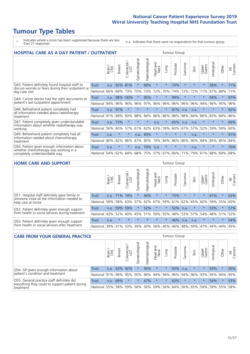# **Tumour Type Tables**

\* Indicates where a score has been suppressed because there are less than 21 responses.

n.a. Indicates that there were no respondents for that tumour group.

| <b>HOSPITAL CARE AS A DAY PATIENT / OUTPATIENT</b>                                                                    |              |       |               |            |                |                |                         |         |          | <b>Tumour Group</b> |         |                 |            |         |                |  |  |  |  |  |  |  |  |
|-----------------------------------------------------------------------------------------------------------------------|--------------|-------|---------------|------------|----------------|----------------|-------------------------|---------|----------|---------------------|---------|-----------------|------------|---------|----------------|--|--|--|--|--|--|--|--|
|                                                                                                                       |              | Brain | <b>Breast</b> | Colorectal | Gynaecological | Haematological | ead and<br>Neck<br>Head | Lung    | Prostate | arcoma<br>S         | Skin    | Upper<br>Gastro | Jrological | Other   | All<br>Cancers |  |  |  |  |  |  |  |  |
| Q43. Patient definitely found hospital staff to                                                                       | <b>Trust</b> | n.a.  | 82%           | 81%        | $\star$        | 68%            | $\star$                 | $\star$ | 73%      | $\star$             | $\star$ | $\star$         | 58%        | $\star$ | 71%            |  |  |  |  |  |  |  |  |
| discuss worries or fears during their outpatient or<br>day case visit                                                 | National     | 66%   | 68%           | 73%        | 70%            | 73%            | 72%                     | 70%     | 74%      | 72%                 | 72%     | 71%             | 67%        | 68%     | 71%            |  |  |  |  |  |  |  |  |
| Q44. Cancer doctor had the right documents at<br>patient's last outpatient appointment                                | Trust        | n.a.  | 98%           | 100%       | $\star$        | 95%            | $\star$                 | $\star$ | 99%      | $\star$             | $\star$ | $\star$         | 94%        | $\star$ | 97%            |  |  |  |  |  |  |  |  |
|                                                                                                                       | National     | 94%   | 96%           | 96%        | 96%            | 97%            | 96%                     | 96%     | 96%      | 96%                 | 96%     | 94%             | 96%        | 95%     | 96%            |  |  |  |  |  |  |  |  |
| Q46. Beforehand patient completely had                                                                                | Trust        | n.a.  | 97%           | $\star$    |                | $\star$        | $\star$                 | $\star$ | 91%      | n.a.                | n.a.    | $\star$         | $\star$    | $\star$ | 92%            |  |  |  |  |  |  |  |  |
| all information needed about radiotherapy<br>treatment                                                                | National     | 91%   | 88%           | 83%        | 88%            | 84%            | 86%                     | 86%     | 88%      | 88%                 | 84%     | 86%             | 83%        | 84%     | 86%            |  |  |  |  |  |  |  |  |
| Q47. Patient completely given understandable<br>information about whether radiotherapy was                            | Trust        | n.a.  | 73%           | $\star$    | $\star$        | $\star$        | n.a.                    | $\star$ | 65%      | n.a.                | n.a.    | $\star$         | $\star$    | $\star$ | 69%            |  |  |  |  |  |  |  |  |
| working                                                                                                               | National     | 56%   | 60%           | 57%        | 61%            | 62%            | 63%                     | 59%     | 60%      | 67%                 | 57%     | 52%             | 59%        | 59%     | 60%            |  |  |  |  |  |  |  |  |
| Q49. Beforehand patient completely had all                                                                            | Trust        | n.a.  | $\star$       | $\star$    | n.a.           | 90%            | $\star$                 | $\star$ | $\star$  | $\star$             | n.a.    | $\star$         | $\star$    | $\star$ | 91%            |  |  |  |  |  |  |  |  |
| information needed about chemotherapy<br>treatment                                                                    | National     | 80%   | 82%           | 86%        | 87%            | 85%            | 79%                     | 84%     | 86%      | 86%                 | 90%     | 84%             | 85%        | 85%     | 84%            |  |  |  |  |  |  |  |  |
| Q50. Patient given enough information about<br>whether chemotherapy was working in a<br>completely understandable way | <b>Trust</b> | n.a.  | $\star$       | $\star$    | n.a.           | 74%            | n.a.                    | $\star$ | $\star$  | 大                   | n.a.    | $\star$         | $\star$    | $\star$ | 70%            |  |  |  |  |  |  |  |  |
|                                                                                                                       | National     | 54%   | 62%           | 64%        | 68%            | 75%            |                         | 57% 67% | 66%      | 71%                 | 79%     | 61%             | 68%        | 69%     | 68%            |  |  |  |  |  |  |  |  |

#### **HOME CARE AND SUPPORT** Tumour Group

|                                                                                                                   |              | Brain | <b>Breast</b> | Colorectal<br>LGT | ᢛ<br>Gynaecologic | Haematological | Head and<br>Neck | <b>Dung</b>     | Prostate | Sarcoma | Skin    | Upper<br>Gastro | Urological | Other   | All<br>Cancers |
|-------------------------------------------------------------------------------------------------------------------|--------------|-------|---------------|-------------------|-------------------|----------------|------------------|-----------------|----------|---------|---------|-----------------|------------|---------|----------------|
| Q51. Hospital staff definitely gave family or<br>someone close all the information needed to<br>help care at home | <b>Trust</b> | n.a.  | 171%          | 174%              |                   | 44%            | $\star$          | $\star$         | 73%      | $\star$ | $\star$ | $\star$         | 61%        | $\star$ | 62%            |
|                                                                                                                   | National     | 58%   | 58%           | 63%               | 57%               |                |                  | 62% 67% 59% 61% |          |         | 62% 65% | 60%             |            | 59% 55% | 60%            |
| Q52. Patient definitely given enough support<br>from health or social services during treatment                   | Trust        | n.a.  |               | 59% 59%           | $\star$           | 52%            | $\star$          | $\star$         | 52%      | n.a.    | $\star$ | $\star$         | 53%        | $\ast$  | 57%            |
|                                                                                                                   | National     | 42%   | 52%           | 60%               |                   | 45% 51%        | 59%              | 50%             | 48%      |         | 53% 57% | 54%             | 48% 51%    |         | 52%            |
| Q53. Patient definitely given enough support<br>from health or social services after treatment                    | Trust        | n.a.  | $\star$       |                   | $\star$           |                | $\star$          | $\star$         | 46%      | n.a.    | n.a.    | $\star$         | $\star$    | $\star$ | 54%            |
|                                                                                                                   | National l   | 39%   | 41% 53%       |                   | 39%               | $ 43\% $       | 56%              | 40%             | 46%      | 48%     | 59%     | 47%             | 44%        | 44%     | 45%            |

| <b>CARE FROM YOUR GENERAL PRACTICE</b>                                                                     |              |        |               |                        |               |                |                             |         | <b>Tumour Group</b> |         |                     |                 |               |             |                |  |  |  |  |  |  |  |
|------------------------------------------------------------------------------------------------------------|--------------|--------|---------------|------------------------|---------------|----------------|-----------------------------|---------|---------------------|---------|---------------------|-----------------|---------------|-------------|----------------|--|--|--|--|--|--|--|
|                                                                                                            |              | Brain, | <b>Breast</b> | ╮<br>Colorectal<br>LGT | Gynaecologica | Haematological | Head and<br>Neck            | Lung    | Prostate            | Sarcoma | Skin                | Upper<br>Gastro | Φ<br>Urologic | Other       | All<br>Cancers |  |  |  |  |  |  |  |
| Q54. GP given enough information about<br>patient's condition and treatment                                | Trust        | n.a.   |               | 93% 92%                |               | 95%            | $\star$                     | $\star$ | 93%                 | n.a.    | $\star$             | $\star$         | 93%           |             | 95%            |  |  |  |  |  |  |  |
|                                                                                                            | National 91% |        |               | 96% 95%                | 95%           |                | 96% 94% 94%                 |         | 96%                 |         | 94% 96% 93% 95% 94% |                 |               |             | 95%            |  |  |  |  |  |  |  |
| Q55. General practice staff definitely did<br>everything they could to support patient during<br>treatment | Trust        | n.a.   | 69%           |                        | $\star$       | 47%            | $\star$                     | $\star$ | 43%                 | $\star$ | $\star$             | $\star$         | 54%           | $\star$     | 53%            |  |  |  |  |  |  |  |
|                                                                                                            | National 55% |        |               | 58% 59%                | 56%           |                | 56% 59% 56% 64% 56% 65% 59% |         |                     |         |                     |                 |               | 59% 55% 58% |                |  |  |  |  |  |  |  |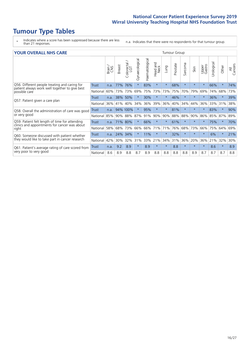# **Tumour Type Tables**

\* Indicates where a score has been suppressed because there are less than 21 responses.

n.a. Indicates that there were no respondents for that tumour group.

| <b>YOUR OVERALL NHS CARE</b>                                                |          |       |               |                       |                |                |                         |         | <b>Tumour Group</b> |         |          |                 |            |          |                |  |  |  |  |  |  |  |
|-----------------------------------------------------------------------------|----------|-------|---------------|-----------------------|----------------|----------------|-------------------------|---------|---------------------|---------|----------|-----------------|------------|----------|----------------|--|--|--|--|--|--|--|
|                                                                             |          | Brain | <b>Breast</b> | olorectal<br>LGT<br>Ũ | Gynaecological | Haematological | aad and<br>Neck<br>Head | Lung    | Prostate            | Sarcoma | Skin     | Upper<br>Gastro | Urological | Other    | All<br>Cancers |  |  |  |  |  |  |  |
| Q56. Different people treating and caring for                               | Trust    | n.a.  | 77%           | 76%                   | $\star$        | 83%            | $\star$                 | $\star$ | 68%                 | $\star$ | $\star$  | $\star$         | 66%        | $\star$  | 74%            |  |  |  |  |  |  |  |
| patient always work well together to give best<br>possible care             | National | 60%   | 73%           | 73%                   | 69%            | 75%            | 73%                     | 73%     | 75%                 | 70%     | 79%      | 69%             | 74%        | 68%      | 73%            |  |  |  |  |  |  |  |
| Q57. Patient given a care plan                                              | Trust    | n.a.  | 38%           | 50%                   |                | 30%            | $\star$                 | $\star$ | 46%                 | $\star$ | $^\star$ | $^\star$        | 36%        | $\star$  | 39%            |  |  |  |  |  |  |  |
|                                                                             | National | 36%   | 41%           | 40%                   | 34%            | 36%            | 39%                     | 36%     | 40%                 | 34%     | 44%      | 36%             | 33%        | 31%      | 38%            |  |  |  |  |  |  |  |
| Q58. Overall the administration of care was good                            | Trust    | n.a.  |               | 94% 100%              |                | 95%            | $\star$                 | $\star$ | 81%                 | $\star$ |          | $\star$         | 83%        | $\ast$   | 90%            |  |  |  |  |  |  |  |
| or very good                                                                | National | 85%   | 90%           | 88%                   | 87%            | 91%            | 90%                     | 90%     | 88%                 | 88%     | 90%      | 86%             | 85%        | 87%      | 89%            |  |  |  |  |  |  |  |
| Q59. Patient felt length of time for attending                              | Trust    | n.a.  | 71%           | 80%                   |                | 66%            | $\star$                 | $\star$ | 61%                 | $\star$ | $\star$  | $\star$         | 75%        | $^\star$ | 70%            |  |  |  |  |  |  |  |
| clinics and appointments for cancer was about<br>right                      | National | 58%   | 68%           | 73%                   | 66%            | 66%            | 71%                     | 71%     | 76%                 | 68%     | 73%      | 66%             | 75%        | 64%      | 69%            |  |  |  |  |  |  |  |
| Q60. Someone discussed with patient whether                                 | Trust    | n.a.  | 24%           | 34%                   |                | 11%            | $\star$                 | $\star$ | 32%                 | $\star$ | $\star$  | $\star$         | 6%         | $\star$  | 21%            |  |  |  |  |  |  |  |
| they would like to take part in cancer research                             | National | 42%   | 30%           | 32%                   | 31%            | 33%            | 21%                     | 34%     | 31%                 | 36%     | 20%      | 36%             | 21%        | 32%      | 30%            |  |  |  |  |  |  |  |
| Q61. Patient's average rating of care scored from<br>very poor to very good | Trust    | n.a.  | 9.2           | 8.9                   | $\star$        | 8.9            | $\star$                 | $\star$ | 8.8                 | $\star$ | $\star$  | $\star$         | 8.6        | $\star$  | 8.9            |  |  |  |  |  |  |  |
|                                                                             | National | 8.6   | 8.9           | 8.8                   | 8.7            | 8.9            | 8.8                     | 8.8     | 8.8                 | 8.8     | 8.9      | 8.7             | 8.7        | 8.7      | 8.8            |  |  |  |  |  |  |  |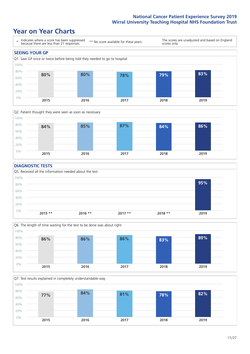### **Year on Year Charts**





#### **DIAGNOSTIC TESTS**





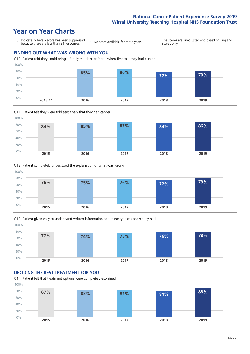







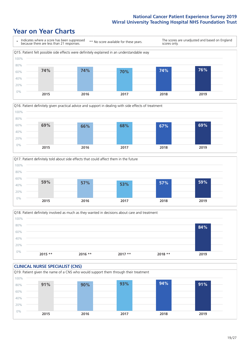





Q18. Patient definitely involved as much as they wanted in decisions about care and treatment  $0%$ 20% 40% 60% 80% 100% **2015 \*\* 2016 \*\* 2017 \*\* 2018 \*\* 2019 84%**

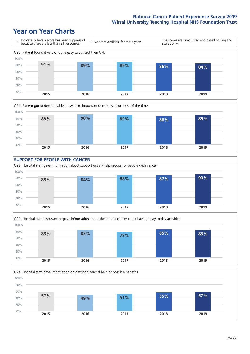







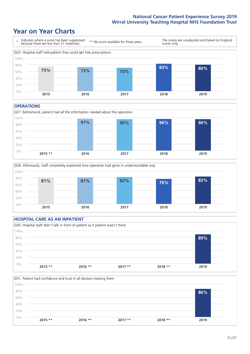### **Year on Year Charts**



#### **OPERATIONS**





#### **HOSPITAL CARE AS AN INPATIENT** Q30. Hospital staff didn't talk in front of patient as if patient wasn't there 0% 20% 40% 60% 80% 100% **2015 \*\* 2016 \*\* 2017 \*\* 2018 \*\* 2019 89%**

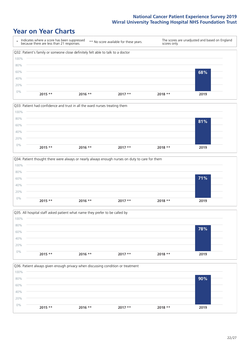







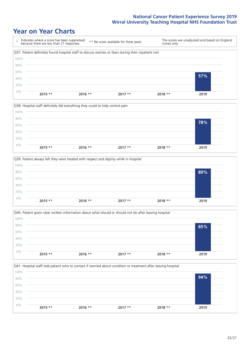







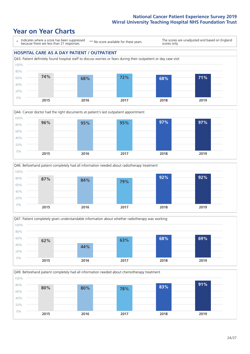### **Year on Year Charts**

\* Indicates where a score has been suppressed because there are less than 21 responses.

\*\* No score available for these years.

The scores are unadjusted and based on England scores only.









Q49. Beforehand patient completely had all information needed about chemotherapy treatment

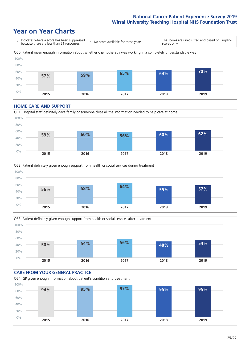### **Year on Year Charts**



#### **HOME CARE AND SUPPORT**







#### **CARE FROM YOUR GENERAL PRACTICE** Q54. GP given enough information about patient's condition and treatment 0% 20% 40% 60% 80% 100% **2015 2016 2017 2018 2019 94% 95% 97% 95% 95%**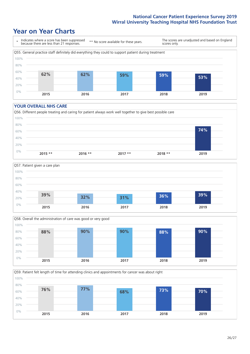### **Year on Year Charts**



#### **YOUR OVERALL NHS CARE**







Q59. Patient felt length of time for attending clinics and appointments for cancer was about right 0% 20% 40% 60% 80% 100% **2015 2016 2017 2018 2019 76% 77% 68% 73% 70%**